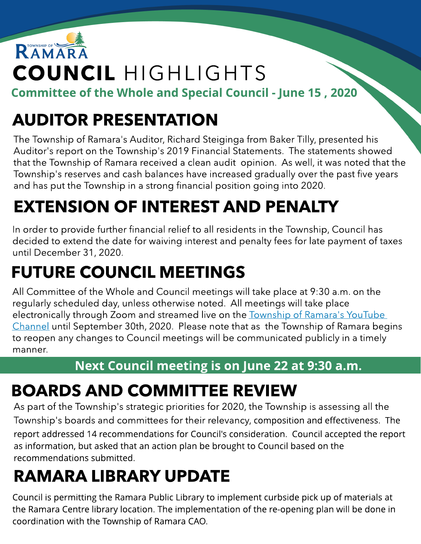

Committee of the Whole and Special Council - June 15, 2020

### AUDITOR PRESENTATION

The Township of Ramara's Auditor, Richard Steiginga from Baker Tilly, presented his Auditor's report on the Township's 2019 Financial Statements. The statements showed that the Township of Ramara received a clean audit opinion. As well, it was noted that the Township's reserves and cash balances have increased gradually over the past five years and has put the Township in a strong financial position going into 2020.

### EXTENSION OF INTEREST AND PENALTY

In order to provide further financial relief to all residents in the Township, Council has decided to extend the date for waiving interest and penalty fees for late payment of taxes until December 31, 2020.

# FUTURE COUNCIL MEETINGS

All Committee of the Whole and Council meetings will take place at 9:30 a.m. on the regularly scheduled day, unless otherwise noted. All meetings will take place electronically through Zoom and streamed live on the **[Township](https://www.youtube.com/channel/UClYspODBjK5nNnr9XtC7oug?view_as=subscriber) [of](https://www.youtube.com/channel/UClYspODBjK5nNnr9XtC7oug?view_as=subscriber) [Ramara's](https://www.youtube.com/channel/UClYspODBjK5nNnr9XtC7oug?view_as=subscriber) [YouTube](https://www.youtube.com/channel/UClYspODBjK5nNnr9XtC7oug?view_as=subscriber)** [Channel](https://www.youtube.com/channel/UClYspODBjK5nNnr9XtC7oug?view_as=subscriber) until September 30th, 2020. Please note that as the Township of Ramara begins to reopen any changes to Council meetings will be communicated publicly in a timely manner.

#### Next Council meeting is on June 22 at 9:30 a.m.

#### BOARDS AND COMMITTEE REVIEW

As part of the Township's strategic priorities for 2020, the Township is assessing all the Township's boards and committees for their relevancy, composition and effectiveness. The report addressed 14 recommendations for Council's consideration. Council accepted the report as information, but asked that an action plan be brought to Council based on the recommendations submitted.

# RAMARA LIBRARY UPDATE

Council is permitting the Ramara Public Library to implement curbside pick up of materials at the Ramara Centre library location. The implementation of the re-opening plan will be done in coordination with the Township of Ramara CAO.